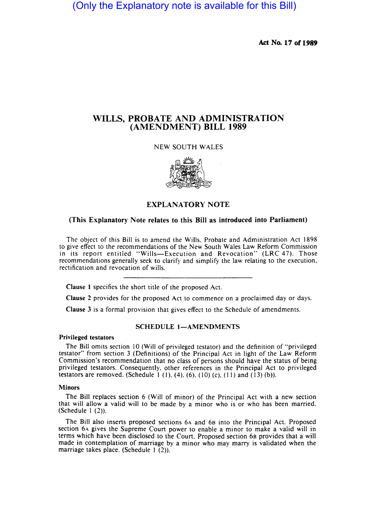(Only the Explanatory note is available for this Bill)

Act No. 17 of 1989

# WILLS, PROBATE AND ADMINISTRATION (AMENDMENT) BILL 1989

NEW SOUTH WALES



# EXPLANATORY NOTE

# (This Explanatory Note relates to this Bill as introduced into Parliament)

The object of this Bill is to amend the Wills, Probate and Administration Act 1898 to give effect to the recommendations of the New South Wales Law Reform Commission in its report entitled "Wills-Execution and Revocation" (LRC 47). Those recommendations generally seek to clarify and simplify the law relating to the execution, rectification and revocation of wills.

Clause I specifies the short title of the proposed Act.

Clause 2 provides for the proposed Act to commence on a proclaimed day or days.

Clause 3 is a formal provision that gives effect to the Schedule of amendments.

# SCHEDULE 1-AMENDMENTS

# Privileged testators

The Bill omits section 10 (Will of privileged testator) and the definition of "privileged testator" from section 3 (Definitions) of the Principal Act in light of the Law Reform Commission's recommendation that no class of persons should have the status of being privileged testators. Consequently, other references in the Principal Act to privileged testators are removed. (Schedule 1 (1), (4), (6), (10) (c), (11) and (13) (b)).

# **Minors**

The Bill replaces section 6 (Will of minor) of the Principal Act with a new section that will allow a valid will to be made by a minor who is or who has been married. (Schedule  $1(2)$ ).

The Bill also inserts proposed sections 6A and 68 into the Principal Act. Proposed section 6.4 gives the Supreme Court power to enable a minor to make a valid will in terms which have been disclosed to the Court. Proposed section 68 provides that a will made in contemplation of marriage by a minor who may marry is validated when the marriage takes place. (Schedule  $1(2)$ ).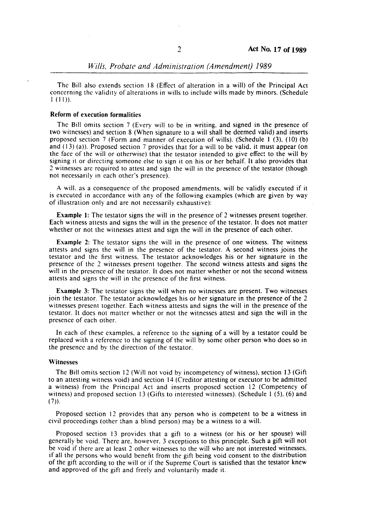#### *Wills. Probate and Administration (Amendment) 1989*

The Bill also extends section 18 (Effect of alteration in a will) of the Principal Act concerning the validity of alterations in wills to include wills made by minors. (Schedule I (11».

# Reform of execution formalities

The Bill omits section 7 (Every will to be in writing. and signed in the presence of two witnesses) and section 8 (When signature to a will shall be deemed valid) and inserts proposed section 7 (Form and manner of execution of wills). (Schedule I (3). (10) (b) and  $(13)$  (a)). Proposed section 7 provides that for a will to be valid, it must appear (on the face of the will or otherwise) that the testator intended to give effect to the will by signing it or directing someone else to sign it on his or her behalf. It also provides that 2 witnesses are required to attest and sign the will in the presence of the testator (though not necessarily in each other's presence).

A will. as a consequence of the proposed amendments. will be validly executed if it is executed in accordance with any of the following examples (which are given by way of illustration only and are not necessarily exhaustive):

Example 1: The testator signs the will in the presence of 2 witnesses present together. Each witness attests and signs the will in the presence of the testator. It does not matter whether or not the witnesses attest and sign the will in the presence of each other.

Example 2: The testator signs the will in the presence of one witness. The witness attests and signs the will in the presence of the testator. A second witness joins the testator and the first witness. The testator acknowledges his or her signature in the presence of the 2 witnesses present together. The second witness attests and signs the will in the presence of the testator. It does not matter whether or not the second witness attests and signs the will in the presence of the first witness.

Example 3: The testator signs the will when no witnesses are present. Two witnesses join the testator. The testator acknowledges his or her signature in the presence of the 2 witnesses present together. Each witness attests and signs the will in the presence of the testator. It does not matter whether or not the witnesses attest and sign the will in the presence of each other.

In each of these examples. a reference to the signing of a will by a testator could be replaced with a reference to the signing of the will by some other person who does so in the presence and by the direction of the testator.

#### Witnesses

The Bill omits section 12 (Will not void by incompetency of witness). section 13 (Gift to an attesting witness void) and section 14 (Creditor attesting or executor to be admitted a witness) from the Principal Act and inserts proposed section 12 (Competency of witness) and proposed section 13 (Gifts to interested witnesses). (Schedule I (5). (6) and  $(7)$ ).

Proposed section 12 provides that any person who is competent to be a witness in civil proceedings (other than a blind person) may be a witness to a will.

Proposed section 13 provides that a gift to a witness (or his or her spouse) will generally be void. There are. however. 3 exceptions to this principle. Such a gift will not be void if there are at least 2 other witnesses to the will who are not interested witnesses. if all the persons who would benefit from the gift being void consent to the distribution of the gift according to the will or if the Supreme Court is satisfied that the testator knew and approved of the gift and freely and voluntarily made it.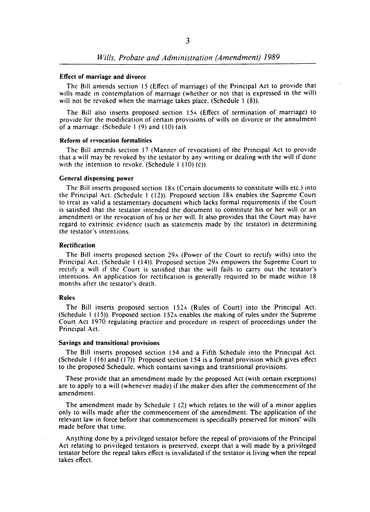#### Effect of marriage and divorce

The Bill amends section 15 (Effect of marriage) of the Principal Act to provide that wills made in contemplation of marriage (whether or not that is expressed in the will) will not be revoked when the marriage takes place. (Schedule  $1(8)$ ).

The Bill also inserts proposed section 15A (Effect of termination of marriage) to provide for the modification of certain provisions of wills on divorce or the annulment of a marriage. (Schedule  $1(9)$  and  $(10)(a)$ ).

# Reform of revocation formalities

The Bill amends section 17 (Manner of revocation) of the Principal Act to provide that a will may be revoked by the testator by any writing or dealing with the will if done with the intention to revoke. (Schedule  $1(10)(c)$ ).

# General dispensing power

The Bill inserts proposed section ISA (Certain documents to constitute wills etc.) into the Principal Act. (Schedule I (12». Proposed section ISA enables the Supreme Court to treat as valid a testamentary document which lacks formal requirements if the Court is satisfied that the testator intended the document to constitute his or her will or an amendment or the revocation of his or her will. It also provides that the Court may have regard to extrinsic evidence (such as statements made by the testator) in determining the testator's intentions.

### **Rectification**

The Bill inserts proposed section 29A (Power of the Court to rectify wills) into the Principal Act. (Schedule I (14». Proposed section 29A empowers the Supreme Court to rectify a will if the Court is satisfied that the will fails to carry out the testator's intentions. An application for rectification is generally required to be made within IS months after the testator's death.

# Rules

The Bill inserts proposed section 152A (Rules of Court) into the Principal Act. (Schedule I (15». Proposed section 152A enables the making of rules under the Supreme Court Act 1970 regulating practice and procedure in respect of proceedings under the Principal Act.

#### Savings and transitional provisions

The Bill inserts proposed section 154 and a Fifth Schedule into the Principal Act. (Schedule I (16) and (17». Proposed section 154 is a formal provision which gives effect to the proposed Schedule, which contains savings and transitional provisions.

These provide that an amendment made by the proposed Act (with certain exceptions) are to apply to a will (whenever made) if the maker dies after the commencement of the amendment.

The amendment made by Schedule I (2) which relates to the will of a minor applies only to wills made after the commencement of the amendment. The application of the relevant law in force before that commencement is specifically preserved for minors' wills made before that time.

Anything done by a privileged testator before the repeal of provisions of the Principal Act relating to privileged testators is preserved, except that a will made by a privileged testator before the repeal takes effect is invalidated if the testator is living when the repeal takes effect.